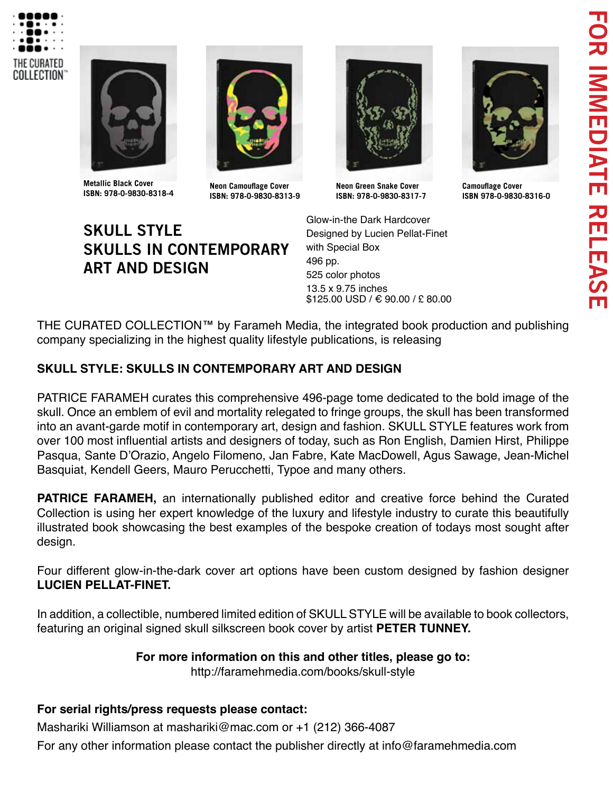



**Metallic Black Cover ISBN: 978-0-9830-8318-4 Camouflage Cover**

**SKULL STYLE**

**ART AND DESIGN**



**Neon Camouflage Cover ISBN: 978-0-9830-8313-9** 



**Neon Green Snake Cover ISBN: 978-0-9830-8317-7**

Glow-in-the Dark Hardcover Designed by Lucien Pellat-Finet with Special Box 496 pp. 525 color photos 13.5 x 9.75 inches \$125.00 USD / € 90.00 / £ 80.00



**ISBN 978-0-9830-8316-0**

THE CURATED COLLECTION™ by Farameh Media, the integrated book production and publishing company specializing in the highest quality lifestyle publications, is releasing

## **SKULL STYLE: SKULLS IN CONTEMPORARY ART AND DESIGN**

**SKULLS IN CONTEMPORARY** 

PATRICE FARAMEH curates this comprehensive 496-page tome dedicated to the bold image of the skull. Once an emblem of evil and mortality relegated to fringe groups, the skull has been transformed into an avant-garde motif in contemporary art, design and fashion. SKULL STYLE features work from over 100 most influential artists and designers of today, such as Ron English, Damien Hirst, Philippe Pasqua, Sante D'Orazio, Angelo Filomeno, Jan Fabre, Kate MacDowell, Agus Sawage, Jean-Michel Basquiat, Kendell Geers, Mauro Perucchetti, Typoe and many others.

**PATRICE FARAMEH,** an internationally published editor and creative force behind the Curated Collection is using her expert knowledge of the luxury and lifestyle industry to curate this beautifully illustrated book showcasing the best examples of the bespoke creation of todays most sought after design.

Four different glow-in-the-dark cover art options have been custom designed by fashion designer **LUCIEN PELLAT-FINET.**

In addition, a collectible, numbered limited edition of SKULL STYLE will be available to book collectors, featuring an original signed skull silkscreen book cover by artist **PETER TUNNEY.**

## **For more information on this and other titles, please go to:**

http://faramehmedia.com/books/skull-style

## **For serial rights/press requests please contact:**

Mashariki Williamson at mashariki@mac.com or +1 (212) 366-4087

For any other information please contact the publisher directly at info@faramehmedia.com